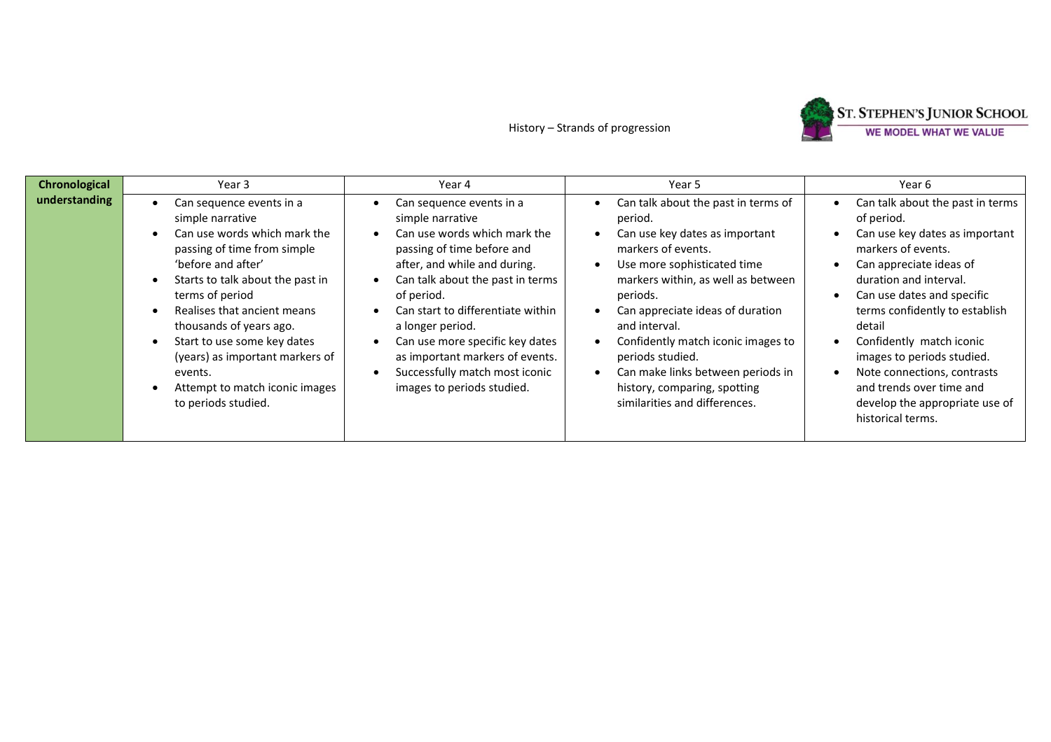## History – Strands of progression



| Chronological | Year 3                                                                                                                                                                                                                                                                                                                                                                                   | Year 4                                                                                                                                                                                                                                                                                                                                                                                      | Year 5                                                                                                                                                                                                                                                                                                                                                                                                       | Year 6                                                                                                                                                                                                                                                                                                                                                                                                            |
|---------------|------------------------------------------------------------------------------------------------------------------------------------------------------------------------------------------------------------------------------------------------------------------------------------------------------------------------------------------------------------------------------------------|---------------------------------------------------------------------------------------------------------------------------------------------------------------------------------------------------------------------------------------------------------------------------------------------------------------------------------------------------------------------------------------------|--------------------------------------------------------------------------------------------------------------------------------------------------------------------------------------------------------------------------------------------------------------------------------------------------------------------------------------------------------------------------------------------------------------|-------------------------------------------------------------------------------------------------------------------------------------------------------------------------------------------------------------------------------------------------------------------------------------------------------------------------------------------------------------------------------------------------------------------|
| understanding | Can sequence events in a<br>simple narrative<br>Can use words which mark the<br>passing of time from simple<br>'before and after'<br>Starts to talk about the past in<br>terms of period<br>Realises that ancient means<br>thousands of years ago.<br>Start to use some key dates<br>(years) as important markers of<br>events.<br>Attempt to match iconic images<br>to periods studied. | Can sequence events in a<br>simple narrative<br>Can use words which mark the<br>passing of time before and<br>after, and while and during.<br>Can talk about the past in terms<br>of period.<br>Can start to differentiate within<br>a longer period.<br>Can use more specific key dates<br>as important markers of events.<br>Successfully match most iconic<br>images to periods studied. | Can talk about the past in terms of<br>period.<br>Can use key dates as important<br>markers of events.<br>Use more sophisticated time<br>markers within, as well as between<br>periods.<br>Can appreciate ideas of duration<br>and interval.<br>Confidently match iconic images to<br>periods studied.<br>Can make links between periods in<br>history, comparing, spotting<br>similarities and differences. | Can talk about the past in terms<br>of period.<br>Can use key dates as important<br>markers of events.<br>Can appreciate ideas of<br>duration and interval.<br>Can use dates and specific<br>terms confidently to establish<br>detail<br>Confidently match iconic<br>images to periods studied.<br>Note connections, contrasts<br>and trends over time and<br>develop the appropriate use of<br>historical terms. |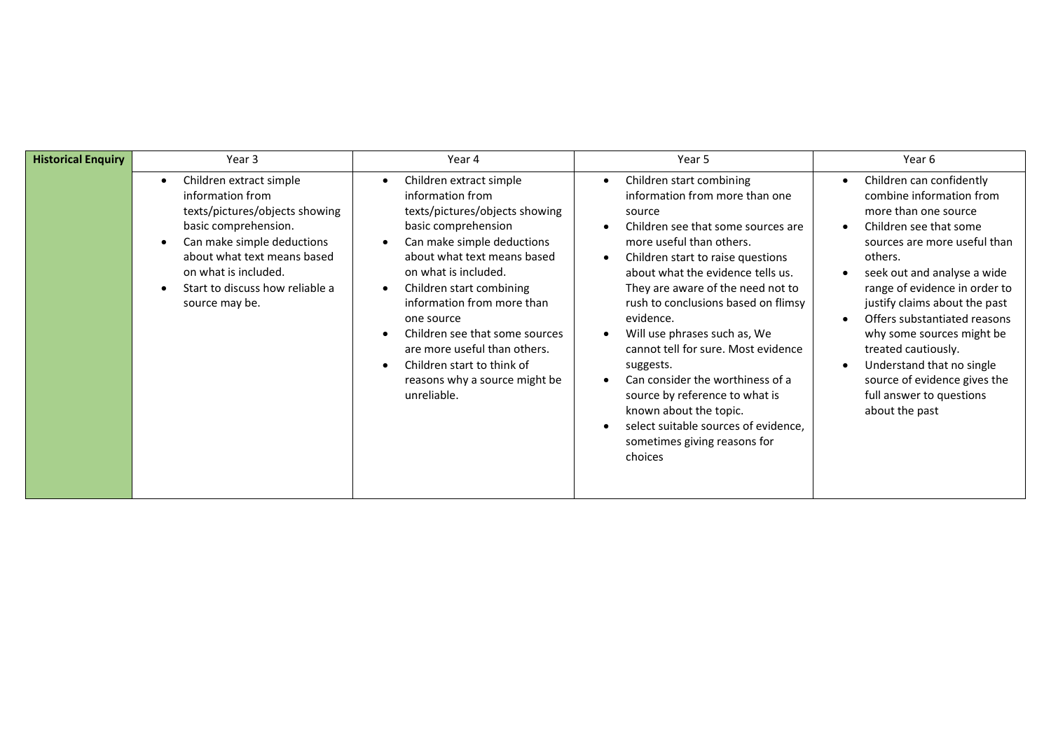| <b>Historical Enquiry</b> | Year 3                                                                                                                                                                                                                                               | Year 4                                                                                                                                                                                                                                                                                                                                                                                                            | Year 5                                                                                                                                                                                                                                                                                                                                                                                                                                                                                                                                                                           | Year 6                                                                                                                                                                                                                                                                                                                                                                                                                                            |
|---------------------------|------------------------------------------------------------------------------------------------------------------------------------------------------------------------------------------------------------------------------------------------------|-------------------------------------------------------------------------------------------------------------------------------------------------------------------------------------------------------------------------------------------------------------------------------------------------------------------------------------------------------------------------------------------------------------------|----------------------------------------------------------------------------------------------------------------------------------------------------------------------------------------------------------------------------------------------------------------------------------------------------------------------------------------------------------------------------------------------------------------------------------------------------------------------------------------------------------------------------------------------------------------------------------|---------------------------------------------------------------------------------------------------------------------------------------------------------------------------------------------------------------------------------------------------------------------------------------------------------------------------------------------------------------------------------------------------------------------------------------------------|
|                           | Children extract simple<br>٠<br>information from<br>texts/pictures/objects showing<br>basic comprehension.<br>Can make simple deductions<br>about what text means based<br>on what is included.<br>Start to discuss how reliable a<br>source may be. | Children extract simple<br>information from<br>texts/pictures/objects showing<br>basic comprehension<br>Can make simple deductions<br>about what text means based<br>on what is included.<br>Children start combining<br>information from more than<br>one source<br>Children see that some sources<br>are more useful than others.<br>Children start to think of<br>reasons why a source might be<br>unreliable. | Children start combining<br>information from more than one<br>source<br>Children see that some sources are<br>more useful than others.<br>Children start to raise questions<br>about what the evidence tells us.<br>They are aware of the need not to<br>rush to conclusions based on flimsy<br>evidence.<br>Will use phrases such as, We<br>cannot tell for sure. Most evidence<br>suggests.<br>Can consider the worthiness of a<br>source by reference to what is<br>known about the topic.<br>select suitable sources of evidence,<br>sometimes giving reasons for<br>choices | Children can confidently<br>combine information from<br>more than one source<br>Children see that some<br>sources are more useful than<br>others.<br>seek out and analyse a wide<br>range of evidence in order to<br>justify claims about the past<br>Offers substantiated reasons<br>why some sources might be<br>treated cautiously.<br>Understand that no single<br>source of evidence gives the<br>full answer to questions<br>about the past |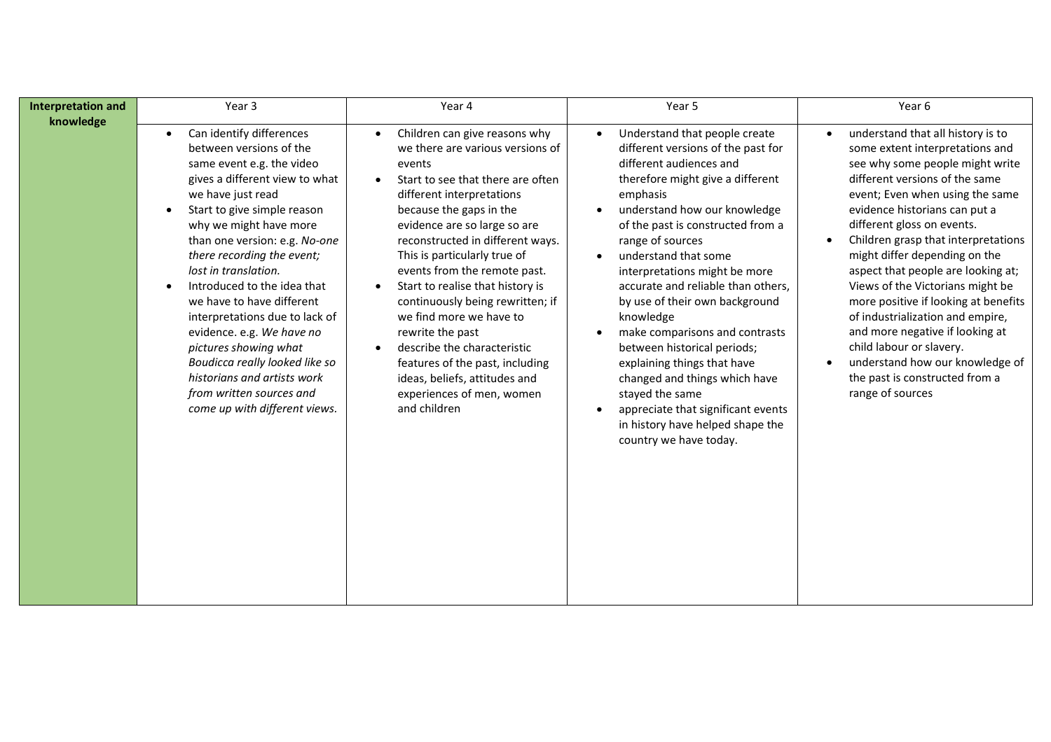| <b>Interpretation and</b> | Year 3                                                                                                                                                                                                                                                                                                                                                                                                                                                                                                                                                                    | Year 4                                                                                                                                                                                                                                                                                                                                                                                                                                                                                                                                                                                                                     | Year 5                                                                                                                                                                                                                                                                                                                                                                                                                                                                                                                                                                                                                                                                                            | Year 6                                                                                                                                                                                                                                                                                                                                                                                                                                                                                                                                                                                                                                         |
|---------------------------|---------------------------------------------------------------------------------------------------------------------------------------------------------------------------------------------------------------------------------------------------------------------------------------------------------------------------------------------------------------------------------------------------------------------------------------------------------------------------------------------------------------------------------------------------------------------------|----------------------------------------------------------------------------------------------------------------------------------------------------------------------------------------------------------------------------------------------------------------------------------------------------------------------------------------------------------------------------------------------------------------------------------------------------------------------------------------------------------------------------------------------------------------------------------------------------------------------------|---------------------------------------------------------------------------------------------------------------------------------------------------------------------------------------------------------------------------------------------------------------------------------------------------------------------------------------------------------------------------------------------------------------------------------------------------------------------------------------------------------------------------------------------------------------------------------------------------------------------------------------------------------------------------------------------------|------------------------------------------------------------------------------------------------------------------------------------------------------------------------------------------------------------------------------------------------------------------------------------------------------------------------------------------------------------------------------------------------------------------------------------------------------------------------------------------------------------------------------------------------------------------------------------------------------------------------------------------------|
| knowledge                 | Can identify differences<br>between versions of the<br>same event e.g. the video<br>gives a different view to what<br>we have just read<br>Start to give simple reason<br>why we might have more<br>than one version: e.g. No-one<br>there recording the event;<br>lost in translation.<br>Introduced to the idea that<br>we have to have different<br>interpretations due to lack of<br>evidence. e.g. We have no<br>pictures showing what<br>Boudicca really looked like so<br>historians and artists work<br>from written sources and<br>come up with different views. | Children can give reasons why<br>$\bullet$<br>we there are various versions of<br>events<br>Start to see that there are often<br>$\bullet$<br>different interpretations<br>because the gaps in the<br>evidence are so large so are<br>reconstructed in different ways.<br>This is particularly true of<br>events from the remote past.<br>Start to realise that history is<br>continuously being rewritten; if<br>we find more we have to<br>rewrite the past<br>describe the characteristic<br>$\bullet$<br>features of the past, including<br>ideas, beliefs, attitudes and<br>experiences of men, women<br>and children | Understand that people create<br>$\bullet$<br>different versions of the past for<br>different audiences and<br>therefore might give a different<br>emphasis<br>understand how our knowledge<br>of the past is constructed from a<br>range of sources<br>understand that some<br>$\bullet$<br>interpretations might be more<br>accurate and reliable than others,<br>by use of their own background<br>knowledge<br>make comparisons and contrasts<br>$\bullet$<br>between historical periods;<br>explaining things that have<br>changed and things which have<br>stayed the same<br>appreciate that significant events<br>$\bullet$<br>in history have helped shape the<br>country we have today. | understand that all history is to<br>$\bullet$<br>some extent interpretations and<br>see why some people might write<br>different versions of the same<br>event; Even when using the same<br>evidence historians can put a<br>different gloss on events.<br>Children grasp that interpretations<br>might differ depending on the<br>aspect that people are looking at;<br>Views of the Victorians might be<br>more positive if looking at benefits<br>of industrialization and empire,<br>and more negative if looking at<br>child labour or slavery.<br>understand how our knowledge of<br>the past is constructed from a<br>range of sources |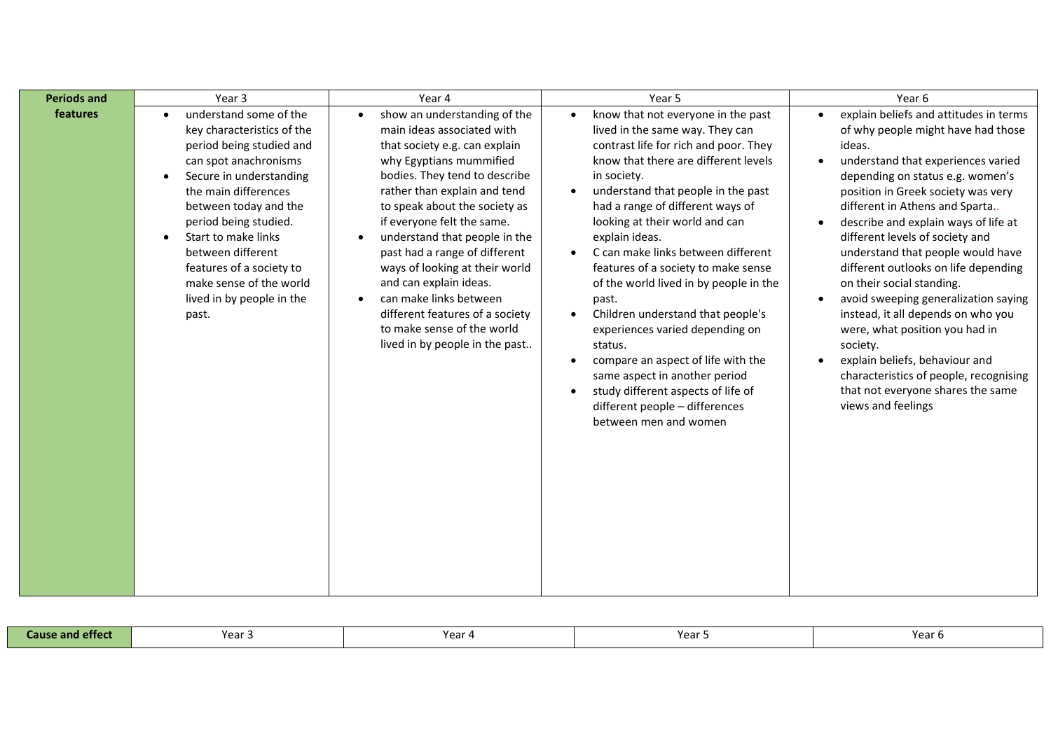| <b>Periods and</b> | Year 3                                                                                                                                                                                                                                                                                                                                                                            | Year 4                                                                                                                                                                                                                                                                                                                                                                                                                                                                                                                         | Year 5                                                                                                                                                                                                                                                                                                                                                                                                                                                                                                                                                                                                                                                                                                                                                                       | Year 6                                                                                                                                                                                                                                                                                                                                                                                                                                                                                                                                                                                                                                                                                                                                                            |
|--------------------|-----------------------------------------------------------------------------------------------------------------------------------------------------------------------------------------------------------------------------------------------------------------------------------------------------------------------------------------------------------------------------------|--------------------------------------------------------------------------------------------------------------------------------------------------------------------------------------------------------------------------------------------------------------------------------------------------------------------------------------------------------------------------------------------------------------------------------------------------------------------------------------------------------------------------------|------------------------------------------------------------------------------------------------------------------------------------------------------------------------------------------------------------------------------------------------------------------------------------------------------------------------------------------------------------------------------------------------------------------------------------------------------------------------------------------------------------------------------------------------------------------------------------------------------------------------------------------------------------------------------------------------------------------------------------------------------------------------------|-------------------------------------------------------------------------------------------------------------------------------------------------------------------------------------------------------------------------------------------------------------------------------------------------------------------------------------------------------------------------------------------------------------------------------------------------------------------------------------------------------------------------------------------------------------------------------------------------------------------------------------------------------------------------------------------------------------------------------------------------------------------|
| features           | understand some of the<br>key characteristics of the<br>period being studied and<br>can spot anachronisms<br>Secure in understanding<br>$\bullet$<br>the main differences<br>between today and the<br>period being studied.<br>Start to make links<br>$\bullet$<br>between different<br>features of a society to<br>make sense of the world<br>lived in by people in the<br>past. | show an understanding of the<br>main ideas associated with<br>that society e.g. can explain<br>why Egyptians mummified<br>bodies. They tend to describe<br>rather than explain and tend<br>to speak about the society as<br>if everyone felt the same.<br>understand that people in the<br>past had a range of different<br>ways of looking at their world<br>and can explain ideas.<br>can make links between<br>$\bullet$<br>different features of a society<br>to make sense of the world<br>lived in by people in the past | know that not everyone in the past<br>$\bullet$<br>lived in the same way. They can<br>contrast life for rich and poor. They<br>know that there are different levels<br>in society.<br>understand that people in the past<br>$\bullet$<br>had a range of different ways of<br>looking at their world and can<br>explain ideas.<br>C can make links between different<br>$\bullet$<br>features of a society to make sense<br>of the world lived in by people in the<br>past.<br>Children understand that people's<br>$\bullet$<br>experiences varied depending on<br>status.<br>compare an aspect of life with the<br>$\bullet$<br>same aspect in another period<br>study different aspects of life of<br>$\bullet$<br>different people - differences<br>between men and women | explain beliefs and attitudes in terms<br>$\bullet$<br>of why people might have had those<br>ideas.<br>understand that experiences varied<br>$\bullet$<br>depending on status e.g. women's<br>position in Greek society was very<br>different in Athens and Sparta<br>describe and explain ways of life at<br>$\bullet$<br>different levels of society and<br>understand that people would have<br>different outlooks on life depending<br>on their social standing.<br>avoid sweeping generalization saying<br>$\bullet$<br>instead, it all depends on who you<br>were, what position you had in<br>society.<br>explain beliefs, behaviour and<br>$\bullet$<br>characteristics of people, recognising<br>that not everyone shares the same<br>views and feelings |

| <b>Cause and effect</b> | Voor<br>$- -$ | Voor<br>u u | ۱ده ۷<br>--- | Yeaı |
|-------------------------|---------------|-------------|--------------|------|
|                         |               |             |              |      |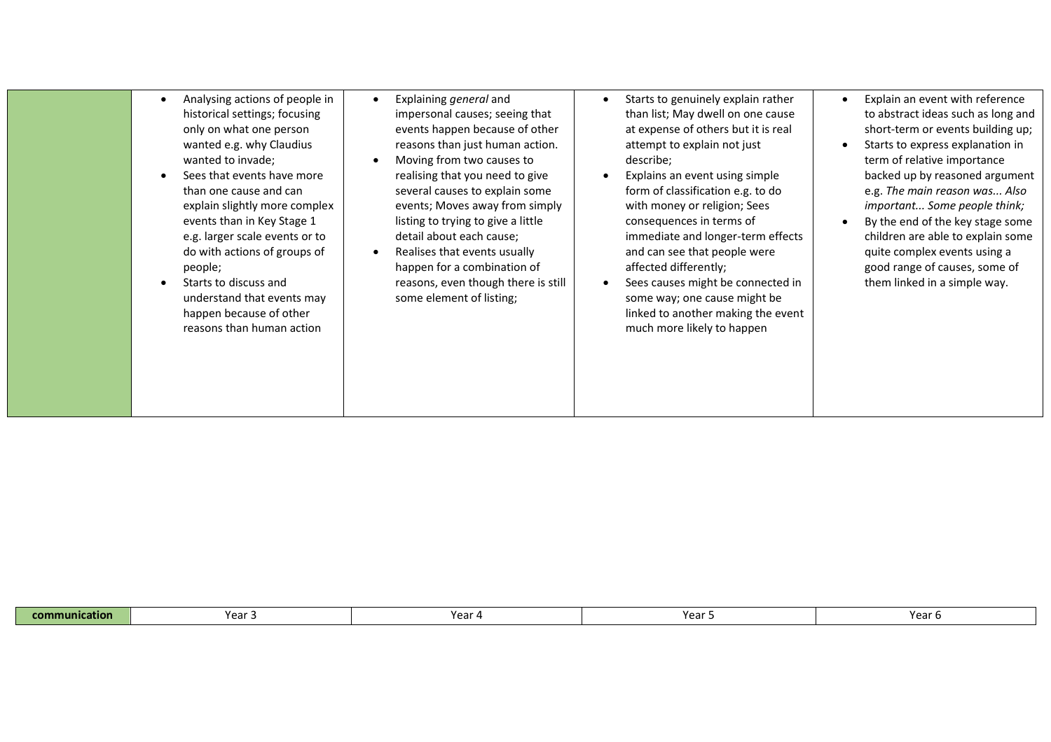| Analysing actions of people in<br>historical settings; focusing<br>only on what one person<br>wanted e.g. why Claudius<br>wanted to invade;<br>Sees that events have more<br>than one cause and can<br>explain slightly more complex<br>events than in Key Stage 1<br>e.g. larger scale events or to<br>do with actions of groups of<br>people;<br>Starts to discuss and<br>understand that events may<br>happen because of other<br>reasons than human action | Explaining general and<br>impersonal causes; seeing that<br>events happen because of other<br>reasons than just human action.<br>Moving from two causes to<br>realising that you need to give<br>several causes to explain some<br>events; Moves away from simply<br>listing to trying to give a little<br>detail about each cause;<br>Realises that events usually<br>happen for a combination of<br>reasons, even though there is still<br>some element of listing; | Starts to genuinely explain rather<br>than list; May dwell on one cause<br>at expense of others but it is real<br>attempt to explain not just<br>describe;<br>Explains an event using simple<br>form of classification e.g. to do<br>with money or religion; Sees<br>consequences in terms of<br>immediate and longer-term effects<br>and can see that people were<br>affected differently;<br>Sees causes might be connected in<br>some way; one cause might be<br>linked to another making the event<br>much more likely to happen | Explain an event with reference<br>to abstract ideas such as long and<br>short-term or events building up;<br>Starts to express explanation in<br>term of relative importance<br>backed up by reasoned argument<br>e.g. The main reason was Also<br>important Some people think;<br>By the end of the key stage some<br>children are able to explain some<br>quite complex events using a<br>good range of causes, some of<br>them linked in a simple way. |
|----------------------------------------------------------------------------------------------------------------------------------------------------------------------------------------------------------------------------------------------------------------------------------------------------------------------------------------------------------------------------------------------------------------------------------------------------------------|-----------------------------------------------------------------------------------------------------------------------------------------------------------------------------------------------------------------------------------------------------------------------------------------------------------------------------------------------------------------------------------------------------------------------------------------------------------------------|--------------------------------------------------------------------------------------------------------------------------------------------------------------------------------------------------------------------------------------------------------------------------------------------------------------------------------------------------------------------------------------------------------------------------------------------------------------------------------------------------------------------------------------|------------------------------------------------------------------------------------------------------------------------------------------------------------------------------------------------------------------------------------------------------------------------------------------------------------------------------------------------------------------------------------------------------------------------------------------------------------|
|----------------------------------------------------------------------------------------------------------------------------------------------------------------------------------------------------------------------------------------------------------------------------------------------------------------------------------------------------------------------------------------------------------------------------------------------------------------|-----------------------------------------------------------------------------------------------------------------------------------------------------------------------------------------------------------------------------------------------------------------------------------------------------------------------------------------------------------------------------------------------------------------------------------------------------------------------|--------------------------------------------------------------------------------------------------------------------------------------------------------------------------------------------------------------------------------------------------------------------------------------------------------------------------------------------------------------------------------------------------------------------------------------------------------------------------------------------------------------------------------------|------------------------------------------------------------------------------------------------------------------------------------------------------------------------------------------------------------------------------------------------------------------------------------------------------------------------------------------------------------------------------------------------------------------------------------------------------------|

| Yea.<br>Year<br>.<br>$-$ cor $\overline{ }$<br>cation<br>mm<br>'ear<br>ear o |
|------------------------------------------------------------------------------|
|------------------------------------------------------------------------------|